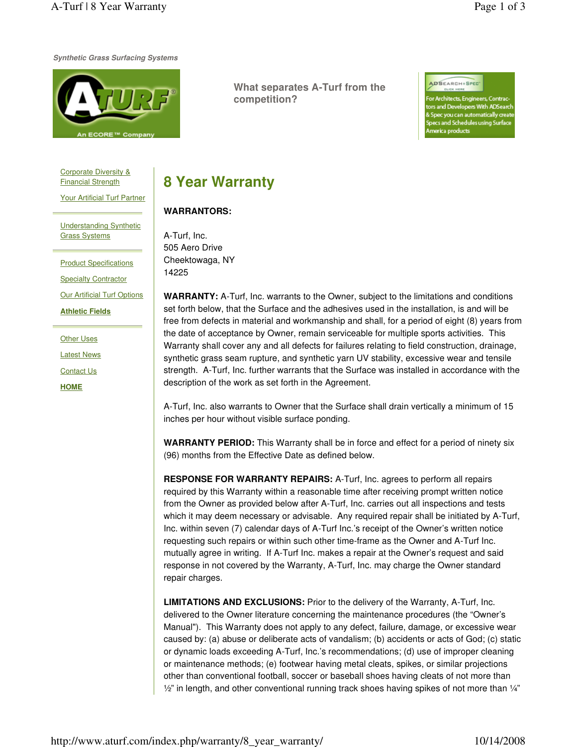**Synthetic Grass Surfacing Systems**



**What separates A-Turf from the competition?**

ADSEARCH+SPEC

hitects, Engineers, Contrac and Developers With ADSearch ec you can automatically creat cs and Schedules using Surface rica products

Corporate Diversity & Financial Strength

Your Artificial Turf Partner

Understanding Synthetic Grass Systems

**Product Specifications** Specialty Contractor

**Our Artificial Turf Options** 

**Athletic Fields**

Other Uses

Latest News

Contact Us

**HOME**

## **8 Year Warranty**

## **WARRANTORS:**

A-Turf, Inc. 505 Aero Drive Cheektowaga, NY 14225

**WARRANTY:** A-Turf, Inc. warrants to the Owner, subject to the limitations and conditions set forth below, that the Surface and the adhesives used in the installation, is and will be free from defects in material and workmanship and shall, for a period of eight (8) years from the date of acceptance by Owner, remain serviceable for multiple sports activities. This Warranty shall cover any and all defects for failures relating to field construction, drainage, synthetic grass seam rupture, and synthetic yarn UV stability, excessive wear and tensile strength. A-Turf, Inc. further warrants that the Surface was installed in accordance with the description of the work as set forth in the Agreement.

A-Turf, Inc. also warrants to Owner that the Surface shall drain vertically a minimum of 15 inches per hour without visible surface ponding.

**WARRANTY PERIOD:** This Warranty shall be in force and effect for a period of ninety six (96) months from the Effective Date as defined below.

**RESPONSE FOR WARRANTY REPAIRS:** A-Turf, Inc. agrees to perform all repairs required by this Warranty within a reasonable time after receiving prompt written notice from the Owner as provided below after A-Turf, Inc. carries out all inspections and tests which it may deem necessary or advisable. Any required repair shall be initiated by A-Turf, Inc. within seven (7) calendar days of A-Turf Inc.'s receipt of the Owner's written notice requesting such repairs or within such other time-frame as the Owner and A-Turf Inc. mutually agree in writing. If A-Turf Inc. makes a repair at the Owner's request and said response in not covered by the Warranty, A-Turf, Inc. may charge the Owner standard repair charges.

**LIMITATIONS AND EXCLUSIONS:** Prior to the delivery of the Warranty, A-Turf, Inc. delivered to the Owner literature concerning the maintenance procedures (the "Owner's Manual"). This Warranty does not apply to any defect, failure, damage, or excessive wear caused by: (a) abuse or deliberate acts of vandalism; (b) accidents or acts of God; (c) static or dynamic loads exceeding A-Turf, Inc.'s recommendations; (d) use of improper cleaning or maintenance methods; (e) footwear having metal cleats, spikes, or similar projections other than conventional football, soccer or baseball shoes having cleats of not more than  $\frac{1}{2}$ " in length, and other conventional running track shoes having spikes of not more than  $\frac{1}{4}$ "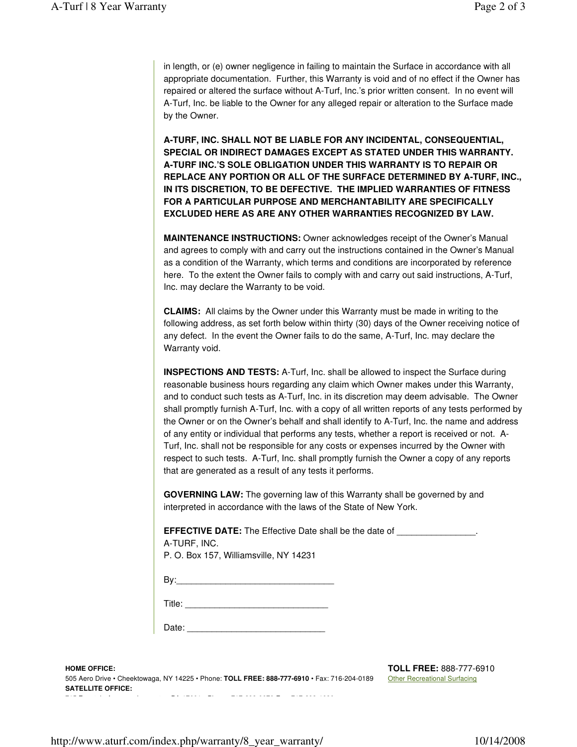in length, or (e) owner negligence in failing to maintain the Surface in accordance with all appropriate documentation. Further, this Warranty is void and of no effect if the Owner has repaired or altered the surface without A-Turf, Inc.'s prior written consent. In no event will A-Turf, Inc. be liable to the Owner for any alleged repair or alteration to the Surface made by the Owner.

**A-TURF, INC. SHALL NOT BE LIABLE FOR ANY INCIDENTAL, CONSEQUENTIAL, SPECIAL OR INDIRECT DAMAGES EXCEPT AS STATED UNDER THIS WARRANTY. A-TURF INC.'S SOLE OBLIGATION UNDER THIS WARRANTY IS TO REPAIR OR REPLACE ANY PORTION OR ALL OF THE SURFACE DETERMINED BY A-TURF, INC., IN ITS DISCRETION, TO BE DEFECTIVE. THE IMPLIED WARRANTIES OF FITNESS FOR A PARTICULAR PURPOSE AND MERCHANTABILITY ARE SPECIFICALLY EXCLUDED HERE AS ARE ANY OTHER WARRANTIES RECOGNIZED BY LAW.**

**MAINTENANCE INSTRUCTIONS:** Owner acknowledges receipt of the Owner's Manual and agrees to comply with and carry out the instructions contained in the Owner's Manual as a condition of the Warranty, which terms and conditions are incorporated by reference here. To the extent the Owner fails to comply with and carry out said instructions, A-Turf, Inc. may declare the Warranty to be void.

**CLAIMS:** All claims by the Owner under this Warranty must be made in writing to the following address, as set forth below within thirty (30) days of the Owner receiving notice of any defect. In the event the Owner fails to do the same, A-Turf, Inc. may declare the Warranty void.

**INSPECTIONS AND TESTS:** A-Turf, Inc. shall be allowed to inspect the Surface during reasonable business hours regarding any claim which Owner makes under this Warranty, and to conduct such tests as A-Turf, Inc. in its discretion may deem advisable. The Owner shall promptly furnish A-Turf, Inc. with a copy of all written reports of any tests performed by the Owner or on the Owner's behalf and shall identify to A-Turf, Inc. the name and address of any entity or individual that performs any tests, whether a report is received or not. A-Turf, Inc. shall not be responsible for any costs or expenses incurred by the Owner with respect to such tests. A-Turf, Inc. shall promptly furnish the Owner a copy of any reports that are generated as a result of any tests it performs.

**GOVERNING LAW:** The governing law of this Warranty shall be governed by and interpreted in accordance with the laws of the State of New York.

**EFFECTIVE DATE:** The Effective Date shall be the date of A-TURF, INC.

| P. O. Box 157, Williamsville, NY 14231 |  |
|----------------------------------------|--|
|----------------------------------------|--|

| P<br>いた<br>- 1 |  |
|----------------|--|
|                |  |

Title: \_\_\_\_\_\_\_\_\_\_\_\_\_\_\_\_\_\_\_\_\_\_\_\_\_\_\_\_\_

| Date: |  |
|-------|--|
|       |  |

**HOME OFFICE:**  505 Aero Drive • Cheektowaga, NY 14225 • Phone: **TOLL FREE: 888-777-6910** • Fax: 716-204-0189 **SATELLITE OFFICE:** 

**TOLL FREE:** 888-777-6910 **Other Recreational Surfacing**